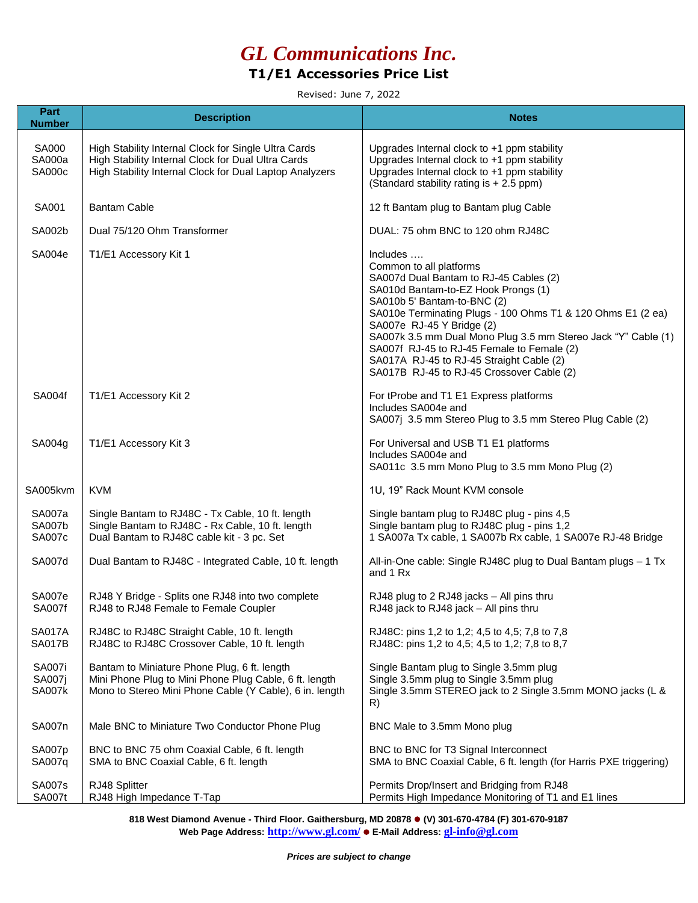# *GL Communications Inc.*

### **T1/E1 Accessories Price List**

Revised: June 7, 2022

| Part<br><b>Number</b>                    | <b>Description</b>                                                                                                                                                    | <b>Notes</b>                                                                                                                                                                                                                                                                                                                                                                                                                                            |
|------------------------------------------|-----------------------------------------------------------------------------------------------------------------------------------------------------------------------|---------------------------------------------------------------------------------------------------------------------------------------------------------------------------------------------------------------------------------------------------------------------------------------------------------------------------------------------------------------------------------------------------------------------------------------------------------|
| <b>SA000</b><br><b>SA000a</b><br>SA000c  | High Stability Internal Clock for Single Ultra Cards<br>High Stability Internal Clock for Dual Ultra Cards<br>High Stability Internal Clock for Dual Laptop Analyzers | Upgrades Internal clock to +1 ppm stability<br>Upgrades Internal clock to +1 ppm stability<br>Upgrades Internal clock to +1 ppm stability<br>(Standard stability rating is + 2.5 ppm)                                                                                                                                                                                                                                                                   |
| SA001                                    | <b>Bantam Cable</b>                                                                                                                                                   | 12 ft Bantam plug to Bantam plug Cable                                                                                                                                                                                                                                                                                                                                                                                                                  |
| SA002b                                   | Dual 75/120 Ohm Transformer                                                                                                                                           | DUAL: 75 ohm BNC to 120 ohm RJ48C                                                                                                                                                                                                                                                                                                                                                                                                                       |
| SA004e                                   | T1/E1 Accessory Kit 1                                                                                                                                                 | Includes<br>Common to all platforms<br>SA007d Dual Bantam to RJ-45 Cables (2)<br>SA010d Bantam-to-EZ Hook Prongs (1)<br>SA010b 5' Bantam-to-BNC (2)<br>SA010e Terminating Plugs - 100 Ohms T1 & 120 Ohms E1 (2 ea)<br>SA007e RJ-45 Y Bridge (2)<br>SA007k 3.5 mm Dual Mono Plug 3.5 mm Stereo Jack "Y" Cable (1)<br>SA007f RJ-45 to RJ-45 Female to Female (2)<br>SA017A RJ-45 to RJ-45 Straight Cable (2)<br>SA017B RJ-45 to RJ-45 Crossover Cable (2) |
| SA004f                                   | T1/E1 Accessory Kit 2                                                                                                                                                 | For tProbe and T1 E1 Express platforms<br>Includes SA004e and<br>SA007j 3.5 mm Stereo Plug to 3.5 mm Stereo Plug Cable (2)                                                                                                                                                                                                                                                                                                                              |
| SA004g                                   | T1/E1 Accessory Kit 3                                                                                                                                                 | For Universal and USB T1 E1 platforms<br>Includes SA004e and<br>SA011c 3.5 mm Mono Plug to 3.5 mm Mono Plug (2)                                                                                                                                                                                                                                                                                                                                         |
| SA005kvm                                 | <b>KVM</b>                                                                                                                                                            | 1U, 19" Rack Mount KVM console                                                                                                                                                                                                                                                                                                                                                                                                                          |
| SA007a<br><b>SA007b</b><br>SA007c        | Single Bantam to RJ48C - Tx Cable, 10 ft. length<br>Single Bantam to RJ48C - Rx Cable, 10 ft. length<br>Dual Bantam to RJ48C cable kit - 3 pc. Set                    | Single bantam plug to RJ48C plug - pins 4,5<br>Single bantam plug to RJ48C plug - pins 1,2<br>1 SA007a Tx cable, 1 SA007b Rx cable, 1 SA007e RJ-48 Bridge                                                                                                                                                                                                                                                                                               |
| SA007d                                   | Dual Bantam to RJ48C - Integrated Cable, 10 ft. length                                                                                                                | All-in-One cable: Single RJ48C plug to Dual Bantam plugs - 1 Tx<br>and 1 Rx                                                                                                                                                                                                                                                                                                                                                                             |
| SA007e<br>SA007f                         | RJ48 Y Bridge - Splits one RJ48 into two complete<br>RJ48 to RJ48 Female to Female Coupler                                                                            | RJ48 plug to 2 RJ48 jacks - All pins thru<br>RJ48 jack to RJ48 jack - All pins thru                                                                                                                                                                                                                                                                                                                                                                     |
| <b>SA017A</b><br><b>SA017B</b>           | RJ48C to RJ48C Straight Cable, 10 ft. length<br>RJ48C to RJ48C Crossover Cable, 10 ft. length                                                                         | RJ48C: pins 1,2 to 1,2; 4,5 to 4,5; 7,8 to 7,8<br>RJ48C: pins 1,2 to 4,5; 4,5 to 1,2; 7,8 to 8,7                                                                                                                                                                                                                                                                                                                                                        |
| <b>SA007i</b><br>SA007j<br><b>SA007k</b> | Bantam to Miniature Phone Plug, 6 ft. length<br>Mini Phone Plug to Mini Phone Plug Cable, 6 ft. length<br>Mono to Stereo Mini Phone Cable (Y Cable), 6 in. length     | Single Bantam plug to Single 3.5mm plug<br>Single 3.5mm plug to Single 3.5mm plug<br>Single 3.5mm STEREO jack to 2 Single 3.5mm MONO jacks (L &<br>R)                                                                                                                                                                                                                                                                                                   |
| SA007n                                   | Male BNC to Miniature Two Conductor Phone Plug                                                                                                                        | BNC Male to 3.5mm Mono plug                                                                                                                                                                                                                                                                                                                                                                                                                             |
| SA007p<br>SA007q                         | BNC to BNC 75 ohm Coaxial Cable, 6 ft. length<br>SMA to BNC Coaxial Cable, 6 ft. length                                                                               | BNC to BNC for T3 Signal Interconnect<br>SMA to BNC Coaxial Cable, 6 ft. length (for Harris PXE triggering)                                                                                                                                                                                                                                                                                                                                             |
| <b>SA007s</b><br><b>SA007t</b>           | RJ48 Splitter<br>RJ48 High Impedance T-Tap                                                                                                                            | Permits Drop/Insert and Bridging from RJ48<br>Permits High Impedance Monitoring of T1 and E1 lines                                                                                                                                                                                                                                                                                                                                                      |

**818 West Diamond Avenue - Third Floor. Gaithersburg, MD 20878 (V) 301-670-4784 (F) 301-670-9187 Web Page Address: http://www.gl.com/ E-Mail Address: gl-info@gl.com**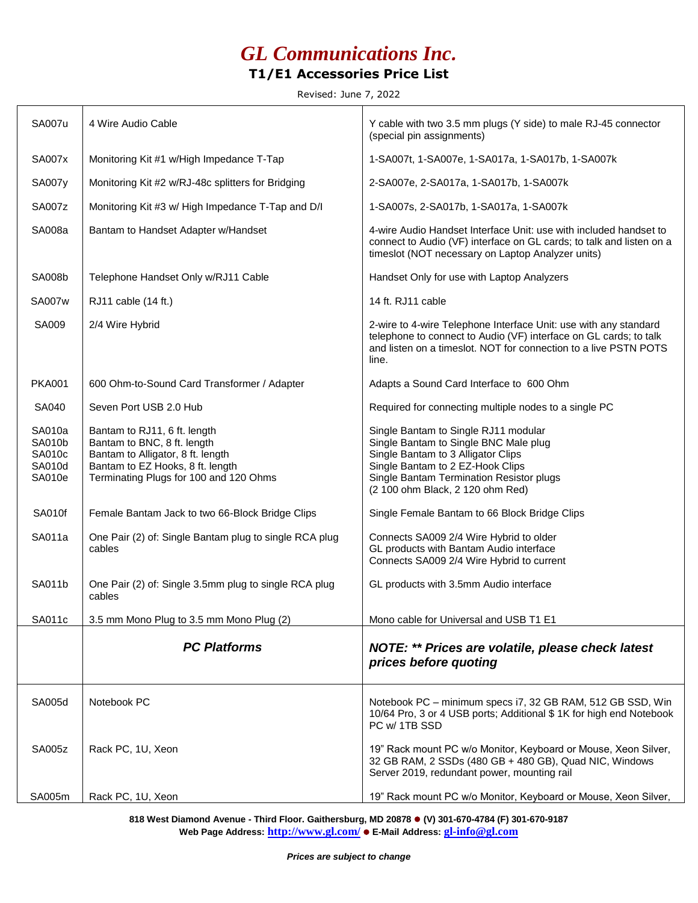### *GL Communications Inc.* **T1/E1 Accessories Price List**

Revised: June 7, 2022

| <b>SA007u</b>                                  | 4 Wire Audio Cable                                                                                                                                                             | Y cable with two 3.5 mm plugs (Y side) to male RJ-45 connector<br>(special pin assignments)                                                                                                                                             |
|------------------------------------------------|--------------------------------------------------------------------------------------------------------------------------------------------------------------------------------|-----------------------------------------------------------------------------------------------------------------------------------------------------------------------------------------------------------------------------------------|
| <b>SA007x</b>                                  | Monitoring Kit #1 w/High Impedance T-Tap                                                                                                                                       | 1-SA007t, 1-SA007e, 1-SA017a, 1-SA017b, 1-SA007k                                                                                                                                                                                        |
| <b>SA007y</b>                                  | Monitoring Kit #2 w/RJ-48c splitters for Bridging                                                                                                                              | 2-SA007e, 2-SA017a, 1-SA017b, 1-SA007k                                                                                                                                                                                                  |
| <b>SA007z</b>                                  | Monitoring Kit #3 w/ High Impedance T-Tap and D/I                                                                                                                              | 1-SA007s, 2-SA017b, 1-SA017a, 1-SA007k                                                                                                                                                                                                  |
| SA008a                                         | Bantam to Handset Adapter w/Handset                                                                                                                                            | 4-wire Audio Handset Interface Unit: use with included handset to<br>connect to Audio (VF) interface on GL cards; to talk and listen on a<br>timeslot (NOT necessary on Laptop Analyzer units)                                          |
| <b>SA008b</b>                                  | Telephone Handset Only w/RJ11 Cable                                                                                                                                            | Handset Only for use with Laptop Analyzers                                                                                                                                                                                              |
| <b>SA007w</b>                                  | RJ11 cable (14 ft.)                                                                                                                                                            | 14 ft. RJ11 cable                                                                                                                                                                                                                       |
| SA009                                          | 2/4 Wire Hybrid                                                                                                                                                                | 2-wire to 4-wire Telephone Interface Unit: use with any standard<br>telephone to connect to Audio (VF) interface on GL cards; to talk<br>and listen on a timeslot. NOT for connection to a live PSTN POTS<br>line.                      |
| <b>PKA001</b>                                  | 600 Ohm-to-Sound Card Transformer / Adapter                                                                                                                                    | Adapts a Sound Card Interface to 600 Ohm                                                                                                                                                                                                |
| SA040                                          | Seven Port USB 2.0 Hub                                                                                                                                                         | Required for connecting multiple nodes to a single PC                                                                                                                                                                                   |
| SA010a<br>SA010b<br>SA010c<br>SA010d<br>SA010e | Bantam to RJ11, 6 ft. length<br>Bantam to BNC, 8 ft. length<br>Bantam to Alligator, 8 ft. length<br>Bantam to EZ Hooks, 8 ft. length<br>Terminating Plugs for 100 and 120 Ohms | Single Bantam to Single RJ11 modular<br>Single Bantam to Single BNC Male plug<br>Single Bantam to 3 Alligator Clips<br>Single Bantam to 2 EZ-Hook Clips<br>Single Bantam Termination Resistor plugs<br>(2 100 ohm Black, 2 120 ohm Red) |
| SA010f                                         | Female Bantam Jack to two 66-Block Bridge Clips                                                                                                                                | Single Female Bantam to 66 Block Bridge Clips                                                                                                                                                                                           |
| SA011a                                         | One Pair (2) of: Single Bantam plug to single RCA plug<br>cables                                                                                                               | Connects SA009 2/4 Wire Hybrid to older<br>GL products with Bantam Audio interface<br>Connects SA009 2/4 Wire Hybrid to current                                                                                                         |
| SA011b                                         | One Pair (2) of: Single 3.5mm plug to single RCA plug<br>cables                                                                                                                | GL products with 3.5mm Audio interface                                                                                                                                                                                                  |
| SA011c                                         | 3.5 mm Mono Plug to 3.5 mm Mono Plug (2)                                                                                                                                       | Mono cable for Universal and USB T1 E1                                                                                                                                                                                                  |
|                                                | <b>PC Platforms</b>                                                                                                                                                            | NOTE: ** Prices are volatile, please check latest<br>prices before quoting                                                                                                                                                              |
| SA005d                                         | Notebook PC                                                                                                                                                                    | Notebook PC - minimum specs i7, 32 GB RAM, 512 GB SSD, Win<br>10/64 Pro, 3 or 4 USB ports; Additional \$1K for high end Notebook<br>PC w/ 1TB SSD                                                                                       |
| SA005z                                         | Rack PC, 1U, Xeon                                                                                                                                                              | 19" Rack mount PC w/o Monitor, Keyboard or Mouse, Xeon Silver,<br>32 GB RAM, 2 SSDs (480 GB + 480 GB), Quad NIC, Windows<br>Server 2019, redundant power, mounting rail                                                                 |
| SA005m                                         | Rack PC, 1U, Xeon                                                                                                                                                              | 19" Rack mount PC w/o Monitor, Keyboard or Mouse, Xeon Silver,                                                                                                                                                                          |

**818 West Diamond Avenue - Third Floor. Gaithersburg, MD 20878 (V) 301-670-4784 (F) 301-670-9187 Web Page Address: http://www.gl.com/ E-Mail Address: gl-info@gl.com**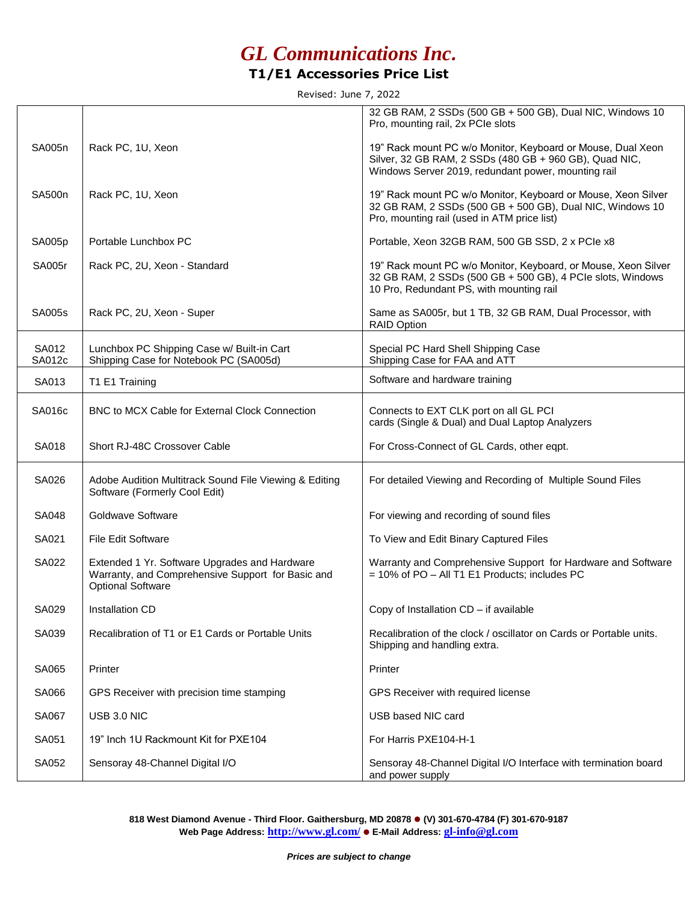## *GL Communications Inc.*

### **T1/E1 Accessories Price List**

Revised: June 7, 2022

|                 |                                                                                                                                | 32 GB RAM, 2 SSDs (500 GB + 500 GB), Dual NIC, Windows 10<br>Pro, mounting rail, 2x PCIe slots                                                                               |
|-----------------|--------------------------------------------------------------------------------------------------------------------------------|------------------------------------------------------------------------------------------------------------------------------------------------------------------------------|
| SA005n          | Rack PC, 1U, Xeon                                                                                                              | 19" Rack mount PC w/o Monitor, Keyboard or Mouse, Dual Xeon<br>Silver, 32 GB RAM, 2 SSDs (480 GB + 960 GB), Quad NIC,<br>Windows Server 2019, redundant power, mounting rail |
| SA500n          | Rack PC, 1U, Xeon                                                                                                              | 19" Rack mount PC w/o Monitor, Keyboard or Mouse, Xeon Silver<br>32 GB RAM, 2 SSDs (500 GB + 500 GB), Dual NIC, Windows 10<br>Pro, mounting rail (used in ATM price list)    |
| SA005p          | Portable Lunchbox PC                                                                                                           | Portable, Xeon 32GB RAM, 500 GB SSD, 2 x PCle x8                                                                                                                             |
| <b>SA005r</b>   | Rack PC, 2U, Xeon - Standard                                                                                                   | 19" Rack mount PC w/o Monitor, Keyboard, or Mouse, Xeon Silver<br>32 GB RAM, 2 SSDs (500 GB + 500 GB), 4 PCIe slots, Windows<br>10 Pro, Redundant PS, with mounting rail     |
| <b>SA005s</b>   | Rack PC, 2U, Xeon - Super                                                                                                      | Same as SA005r, but 1 TB, 32 GB RAM, Dual Processor, with<br><b>RAID Option</b>                                                                                              |
| SA012<br>SA012c | Lunchbox PC Shipping Case w/ Built-in Cart<br>Shipping Case for Notebook PC (SA005d)                                           | Special PC Hard Shell Shipping Case<br>Shipping Case for FAA and ATT                                                                                                         |
| SA013           | T1 E1 Training                                                                                                                 | Software and hardware training                                                                                                                                               |
| SA016c          | BNC to MCX Cable for External Clock Connection                                                                                 | Connects to EXT CLK port on all GL PCI<br>cards (Single & Dual) and Dual Laptop Analyzers                                                                                    |
| SA018           | Short RJ-48C Crossover Cable                                                                                                   | For Cross-Connect of GL Cards, other eqpt.                                                                                                                                   |
| SA026           | Adobe Audition Multitrack Sound File Viewing & Editing<br>Software (Formerly Cool Edit)                                        | For detailed Viewing and Recording of Multiple Sound Files                                                                                                                   |
| SA048           | Goldwave Software                                                                                                              | For viewing and recording of sound files                                                                                                                                     |
| SA021           | File Edit Software                                                                                                             | To View and Edit Binary Captured Files                                                                                                                                       |
| SA022           | Extended 1 Yr. Software Upgrades and Hardware<br>Warranty, and Comprehensive Support for Basic and<br><b>Optional Software</b> | Warranty and Comprehensive Support for Hardware and Software<br>= 10% of PO - All T1 E1 Products; includes PC                                                                |
| SA029           | Installation CD                                                                                                                | Copy of Installation CD - if available                                                                                                                                       |
| SA039           | Recalibration of T1 or E1 Cards or Portable Units                                                                              | Recalibration of the clock / oscillator on Cards or Portable units.<br>Shipping and handling extra.                                                                          |
| SA065           | Printer                                                                                                                        | Printer                                                                                                                                                                      |
| SA066           | GPS Receiver with precision time stamping                                                                                      | GPS Receiver with required license                                                                                                                                           |
| SA067           | USB 3.0 NIC                                                                                                                    | USB based NIC card                                                                                                                                                           |
| SA051           | 19" Inch 1U Rackmount Kit for PXE104                                                                                           | For Harris PXE104-H-1                                                                                                                                                        |
| SA052           | Sensoray 48-Channel Digital I/O                                                                                                | Sensoray 48-Channel Digital I/O Interface with termination board<br>and power supply                                                                                         |

**818 West Diamond Avenue - Third Floor. Gaithersburg, MD 20878 (V) 301-670-4784 (F) 301-670-9187 Web Page Address: http://www.gl.com/ E-Mail Address: gl-info@gl.com**